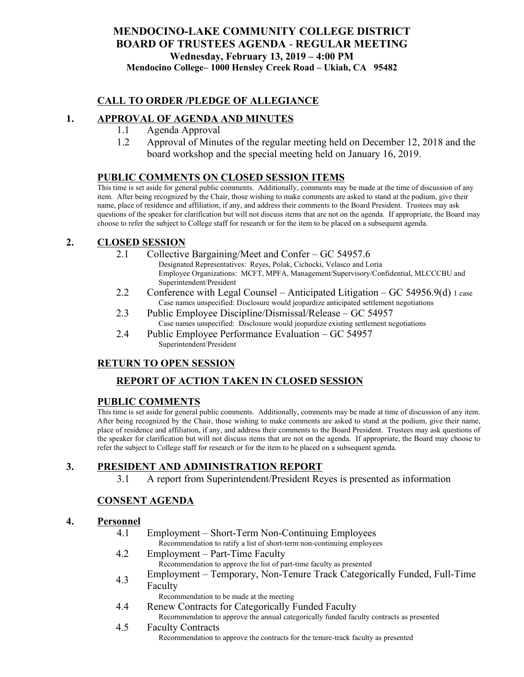# **MENDOCINO-LAKE COMMUNITY COLLEGE DISTRICT BOARD OF TRUSTEES AGENDA** - **REGULAR MEETING Wednesday, February 13, 2019 – 4:00 PM Mendocino College– 1000 Hensley Creek Road – Ukiah, CA 95482**

# **CALL TO ORDER /PLEDGE OF ALLEGIANCE**

# **1. APPROVAL OF AGENDA AND MINUTES**

- 1.1 Agenda Approval
- 1.2 Approval of Minutes of the regular meeting held on December 12, 2018 and the board workshop and the special meeting held on January 16, 2019.

### **PUBLIC COMMENTS ON CLOSED SESSION ITEMS**

This time is set aside for general public comments. Additionally, comments may be made at the time of discussion of any item. After being recognized by the Chair, those wishing to make comments are asked to stand at the podium, give their name, place of residence and affiliation, if any, and address their comments to the Board President. Trustees may ask questions of the speaker for clarification but will not discuss items that are not on the agenda. If appropriate, the Board may choose to refer the subject to College staff for research or for the item to be placed on a subsequent agenda.

### **2. CLOSED SESSION**

- 2.1 Collective Bargaining/Meet and Confer GC 54957.6
	- Designated Representatives: Reyes, Polak, Cichocki, Velasco and Loria Employee Organizations: MCFT, MPFA, Management/Supervisory/Confidential, MLCCCBU and Superintendent/President
- 2.2 Conference with Legal Counsel Anticipated Litigation GC 54956.9(d) 1 case Case names unspecified: Disclosure would jeopardize anticipated settlement negotiations
- 2.3 Public Employee Discipline/Dismissal/Release GC 54957 Case names unspecified: Disclosure would jeopardize existing settlement negotiations
- 2.4 Public Employee Performance Evaluation GC 54957 Superintendent/President

### **RETURN TO OPEN SESSION**

# **REPORT OF ACTION TAKEN IN CLOSED SESSION**

### **PUBLIC COMMENTS**

This time is set aside for general public comments. Additionally, comments may be made at time of discussion of any item. After being recognized by the Chair, those wishing to make comments are asked to stand at the podium, give their name, place of residence and affiliation, if any, and address their comments to the Board President. Trustees may ask questions of the speaker for clarification but will not discuss items that are not on the agenda. If appropriate, the Board may choose to refer the subject to College staff for research or for the item to be placed on a subsequent agenda.

# **3. PRESIDENT AND ADMINISTRATION REPORT**

3.1 A report from Superintendent/President Reyes is presented as information

### **CONSENT AGENDA**

#### **4. Personnel**

- 4.1 Employment Short-Term Non-Continuing Employees Recommendation to ratify a list of short-term non-continuing employees
- 4.2 Employment Part-Time Faculty Recommendation to approve the list of part-time faculty as presented
- 4.3 Employment Temporary, Non-Tenure Track Categorically Funded, Full-Time Faculty
	- Recommendation to be made at the meeting
- 4.4 Renew Contracts for Categorically Funded Faculty Recommendation to approve the annual categorically funded faculty contracts as presented
- 4.5 Faculty Contracts Recommendation to approve the contracts for the tenure-track faculty as presented